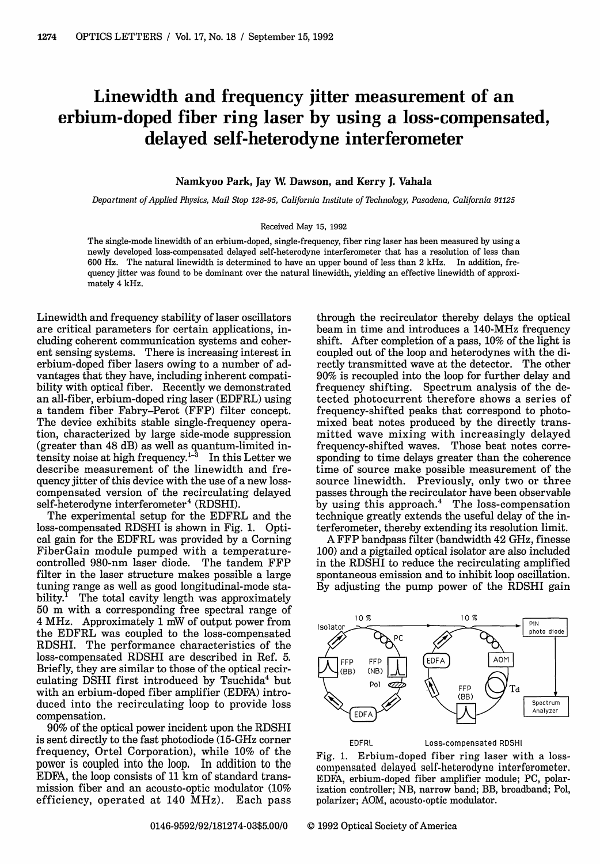## Linewidth and frequency jitter measurement of an erbium-doped fiber ring laser by using a loss-compensated, delayed self-heterodyne interferometer

## **Namkyoo Park,** Jay W **Dawson, and Kerry J. Vahala**

*Department of Applied Physics, Mail Stop 128-95, California Institute of Technology, Pasadena, California 91125*

## Received May 15, 1992

The single-mode linewidth of an erbium-doped, single-frequency, fiber ring laser has been measured by using a newly developed loss-compensated delayed self-heterodyne interferometer that has a resolution of less than 600 Hz. The natural linewidth is determined to have an upper bound of less than 2 kHz. In addition, frequency jitter was found to be dominant over the natural linewidth, yielding an effective linewidth of approximately 4 kHz.

Linewidth and frequency stability of laser oscillators are critical parameters for certain applications, including coherent communication systems and coherent sensing systems. There is increasing interest in erbium-doped fiber lasers owing to a number of advantages that they have, including inherent compatibility with optical fiber. Recently we demonstrated an all-fiber, erbium-doped ring laser (EDFRL) using a tandem fiber Fabry-Perot (FFP) filter concept. The device exhibits stable single-frequency operation, characterized by large side-mode suppression (greater than 48 dB) as well as quantum-limited intensity noise at high frequency.<sup>1-3</sup> In this Letter we describe measurement of the linewidth and frequency jitter of this device with the use of a new losscompensated version of the recirculating delayed self-heterodyne interferometer<sup>4</sup> (RDSHI).

The experimental setup for the EDFRL and the loss-compensated RDSHI is shown in Fig. 1. Optical gain for the EDFRL was provided by a Corning FiberGain module pumped with a temperaturecontrolled 980-nm laser diode. The tandem FFP filter in the laser structure makes possible a large tuning range as well as good longitudinal-mode stability.<sup> $I$ </sup> The total cavity length was approximately 50 m with a corresponding free spectral range of 4 MHz. Approximately 1 mW of output power from the EDFRL was coupled to the loss-compensated RDSHI. The performance characteristics of the loss-compensated RDSHI are described in Ref. 5. Briefly, they are similar to those of the optical recirculating DSHI first introduced by Tsuchida<sup>4</sup> but with an erbium-doped fiber amplifier (EDFA) introduced into the recirculating loop to provide loss compensation.

90% of the optical power incident upon the RDSHI is sent directly to the fast photodiode (15-GHz corner frequency, Ortel Corporation), while 10% of the power is coupled into the loop. In addition to the EDFA, the loop consists of 11 km of standard transmission fiber and an acousto-optic modulator (10% efficiency, operated at 140 MHz). Each pass

through the recirculator thereby delays the optical beam in time and introduces a 140-MHz frequency shift. After completion of a pass, 10% of the light is coupled out of the loop and heterodynes with the directly transmitted wave at the detector. The other 90% is recoupled into the loop for further delay and frequency shifting. Spectrum analysis of the detected photocurrent therefore shows a series of frequency-shifted peaks that correspond to photomixed beat notes produced by the directly transmitted wave mixing with increasingly delayed frequency-shifted waves. Those beat notes corresponding to time delays greater than the coherence time of source make possible measurement of the source linewidth. Previously, only two or three passes through the recirculator have been observable by using this approach.<sup>4</sup> The loss-compensation technique greatly extends the useful delay of the interferometer, thereby extending its resolution limit.

A FFP bandpass filter (bandwidth 42 GHz, finesse 100) and a pigtailed optical isolator are also included in the RDSHI to reduce the recirculating amplified spontaneous emission and to inhibit loop oscillation. By adjusting the pump power of the RDSHI gain



EDFRL Loss-compensated RDSHI

Fig. 1. Erbium-doped fiber ring laser with a losscompensated delayed self-heterodyne interferometer. EDFA, erbium-doped fiber amplifier module; PC, polarization controller; NB, narrow band; BB, broadband; Pol, polarizer; AOM, acousto-optic modulator.

0146-9592/92/181274-03\$5.00/0 © 1992 Optical Society of America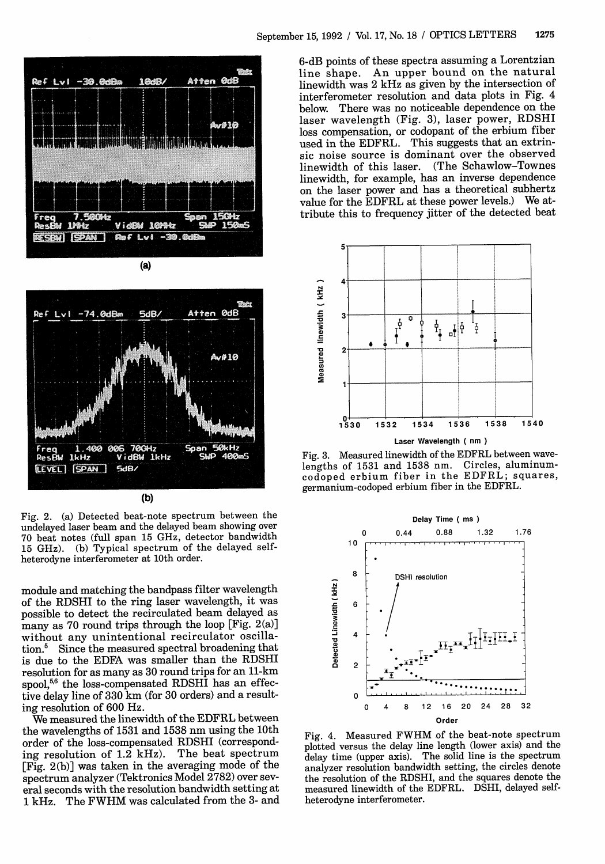

(a)



Fig. 2. (a) Detected beat-note spectrum between the undelayed laser beam and the delayed beam showing over 70 beat notes (full span 15 GHz, detector bandwidth 15 GHz). (b) Typical spectrum of the delayed selfheterodyne interferometer at 10th order.

module and matching the bandpass filter wavelength of the RDSHI to the ring laser wavelength, it was possible to detect the recirculated beam delayed as many as 70 round trips through the loop [Fig. 2(a)] without any unintentional recirculator oscillation.5 Since the measured spectral broadening that is due to the EDFA was smaller than the RDSHI resolution for as many as 30 round trips for an 11-km spool, $56$  the loss-compensated RDSHI has an effective delay line of 330 km (for 30 orders) and a resulting resolution of 600 Hz.

We measured the linewidth of the EDFRL between the wavelengths of 1531 and 1538 nm using the 10th order of the loss-compensated RDSHI (corresponding resolution of 1.2 kHz). The beat spectrum [Fig. 2(b)] was taken in the averaging mode of the spectrum analyzer (Tektronics Model 2782) over several seconds with the resolution bandwidth setting at 1 kHz. The FWHM was calculated from the 3- and 6-dB points of these spectra assuming a Lorentzian line shape. An upper bound on the natural linewidth was 2 kHz as given by the intersection of interferometer resolution and data plots in Fig. 4 below. There was no noticeable dependence on the laser wavelength (Fig. 3), laser power, RDSHI loss compensation, or codopant of the erbium fiber used in the EDFRL. This suggests that an extrinsic noise source is dominant over the observed linewidth of this laser. (The Schawlow-Townes linewidth, for example, has an inverse dependence on the laser power and has a theoretical subhertz value for the EDFRL at these power levels.) We attribute this to frequency jitter of the detected beat



Fig. 3. Measured linewidth of the EDFRL between wavelengths of 1531 and 1538 nm. Circles, aluminumcodoped erbium fiber in the EDFRL; squares, germanium-codoped erbium fiber in the EDFRL.



Fig. 4. Measured FWHM of the beat-note spectrum plotted versus the delay line length (lower axis) and the delay time (upper axis). The solid line is the spectrum analyzer resolution bandwidth setting, the circles denote the resolution of the RDSHI, and the squares denote the measured linewidth of the EDFRL. DSHI, delayed selfheterodyne interferometer.